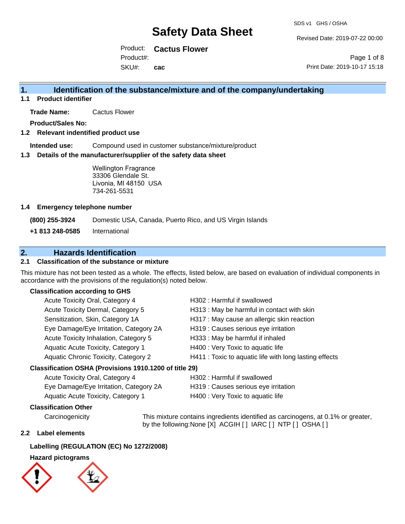Revised Date: 2019-07-22 00:00

Product: **Cactus Flower** Product#:

SKU#: **cac**

Page 1 of 8 Print Date: 2019-10-17 15:18

## **1. Identification of the substance/mixture and of the company/undertaking**

**1.1 Product identifier**

**Trade Name:** Cactus Flower

**Product/Sales No:**

## **1.2 Relevant indentified product use**

**Intended use:** Compound used in customer substance/mixture/product

#### **1.3 Details of the manufacturer/supplier of the safety data sheet**

Wellington Fragrance 33306 Glendale St. Livonia, MI 48150 USA 734-261-5531

#### **1.4 Emergency telephone number**

**(800) 255-3924** Domestic USA, Canada, Puerto Rico, and US Virgin Islands

**+1 813 248-0585** International

## **2. Hazards Identification**

## **2.1 Classification of the substance or mixture**

This mixture has not been tested as a whole. The effects, listed below, are based on evaluation of individual components in accordance with the provisions of the regulation(s) noted below.

### **Classification according to GHS**

| Acute Toxicity Oral, Category 4                     | H302: Harmful if swallowed                             |
|-----------------------------------------------------|--------------------------------------------------------|
| Acute Toxicity Dermal, Category 5                   | H313: May be harmful in contact with skin              |
| Sensitization, Skin, Category 1A                    | H317 : May cause an allergic skin reaction             |
| Eye Damage/Eye Irritation, Category 2A              | H319 : Causes serious eye irritation                   |
| Acute Toxicity Inhalation, Category 5               | H333: May be harmful if inhaled                        |
| Aquatic Acute Toxicity, Category 1                  | H400 : Very Toxic to aquatic life                      |
| Aquatic Chronic Toxicity, Category 2                | H411 : Toxic to aquatic life with long lasting effects |
| ssification OSHA (Provisions 1910 1200 of title 29) |                                                        |

## **Classification OSHA (Provisions 1910.1200 of title 29)**

| Acute Toxicity Oral, Category 4        | H302 : Harmful if swallowed          |
|----------------------------------------|--------------------------------------|
| Eye Damage/Eye Irritation, Category 2A | H319 : Causes serious eye irritation |
| Aquatic Acute Toxicity, Category 1     | H400 : Very Toxic to aquatic life    |

### **Classification Other**

Carcinogenicity This mixture contains ingredients identified as carcinogens, at 0.1% or greater, by the following:None [X] ACGIH [ ] IARC [ ] NTP [ ] OSHA [ ]

#### **2.2 Label elements**

### **Labelling (REGULATION (EC) No 1272/2008)**

### **Hazard pictograms**

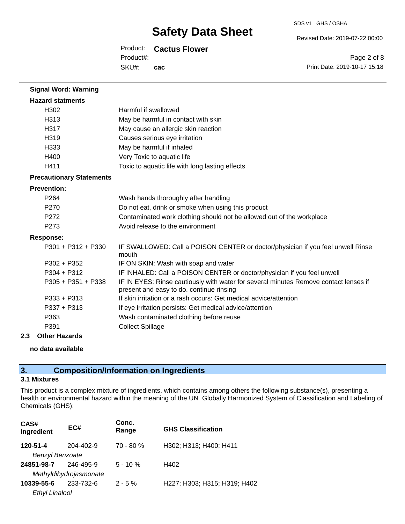#### SDS v1 GHS / OSHA

Revised Date: 2019-07-22 00:00

Product: **Cactus Flower**

SKU#: Product#: **cac**

Page 2 of 8 Print Date: 2019-10-17 15:18

| <b>Signal Word: Warning</b>     |                                                                                                                                  |
|---------------------------------|----------------------------------------------------------------------------------------------------------------------------------|
| <b>Hazard statments</b>         |                                                                                                                                  |
| H302                            | Harmful if swallowed                                                                                                             |
| H <sub>313</sub>                | May be harmful in contact with skin                                                                                              |
| H317                            | May cause an allergic skin reaction                                                                                              |
| H319                            | Causes serious eye irritation                                                                                                    |
| H333                            | May be harmful if inhaled                                                                                                        |
| H400                            | Very Toxic to aquatic life                                                                                                       |
| H411                            | Toxic to aquatic life with long lasting effects                                                                                  |
| <b>Precautionary Statements</b> |                                                                                                                                  |
| <b>Prevention:</b>              |                                                                                                                                  |
| P <sub>264</sub>                | Wash hands thoroughly after handling                                                                                             |
| P270                            | Do not eat, drink or smoke when using this product                                                                               |
| P <sub>272</sub>                | Contaminated work clothing should not be allowed out of the workplace                                                            |
| P273                            | Avoid release to the environment                                                                                                 |
| <b>Response:</b>                |                                                                                                                                  |
| $P301 + P312 + P330$            | IF SWALLOWED: Call a POISON CENTER or doctor/physician if you feel unwell Rinse<br>mouth                                         |
| $P302 + P352$                   | IF ON SKIN: Wash with soap and water                                                                                             |
| $P304 + P312$                   | IF INHALED: Call a POISON CENTER or doctor/physician if you feel unwell                                                          |
| $P305 + P351 + P338$            | IF IN EYES: Rinse cautiously with water for several minutes Remove contact lenses if<br>present and easy to do. continue rinsing |
| $P333 + P313$                   | If skin irritation or a rash occurs: Get medical advice/attention                                                                |
| $P337 + P313$                   | If eye irritation persists: Get medical advice/attention                                                                         |
| P363                            | Wash contaminated clothing before reuse                                                                                          |
| P391                            | <b>Collect Spillage</b>                                                                                                          |

#### **2.3 Other Hazards**

#### **no data available**

## **3. Composition/Information on Ingredients**

## **3.1 Mixtures**

This product is a complex mixture of ingredients, which contains among others the following substance(s), presenting a health or environmental hazard within the meaning of the UN Globally Harmonized System of Classification and Labeling of Chemicals (GHS):

| CAS#<br>Ingredient     | EC#                    | Conc.<br>Range | <b>GHS Classification</b>    |
|------------------------|------------------------|----------------|------------------------------|
| 120-51-4               | 204-402-9              | $70 - 80 %$    | H302; H313; H400; H411       |
| <b>Benzyl Benzoate</b> |                        |                |                              |
| 24851-98-7             | 246-495-9              | $5 - 10 \%$    | H402                         |
|                        | Methyldihydrojasmonate |                |                              |
| 10339-55-6             | 233-732-6              | $2 - 5%$       | H227; H303; H315; H319; H402 |
| <b>Ethyl Linalool</b>  |                        |                |                              |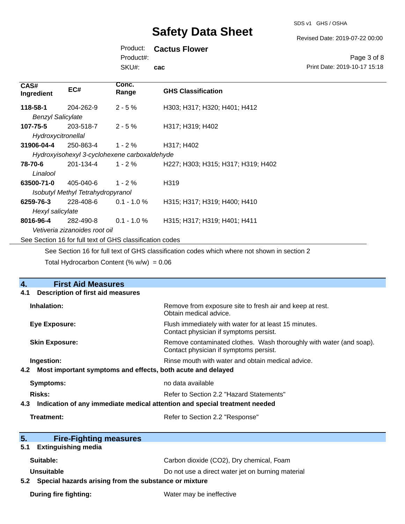SDS v1 GHS / OSHA

Revised Date: 2019-07-22 00:00

Print Date: 2019-10-17 15:18

Page 3 of 8

## Product: **Cactus Flower**

Product#:

SKU#: **cac**

| CAS#<br>Ingredient       | EC#                               | Conc.<br>Range                                           | <b>GHS Classification</b>                                                                   |
|--------------------------|-----------------------------------|----------------------------------------------------------|---------------------------------------------------------------------------------------------|
| 118-58-1                 | 204-262-9                         | $2 - 5%$                                                 | H303; H317; H320; H401; H412                                                                |
| <b>Benzyl Salicylate</b> |                                   |                                                          |                                                                                             |
| 107-75-5                 | 203-518-7                         | $2 - 5%$                                                 | H317; H319; H402                                                                            |
| Hydroxycitronellal       |                                   |                                                          |                                                                                             |
| 31906-04-4               | 250-863-4                         | $1 - 2 \%$                                               | H317; H402                                                                                  |
|                          |                                   | Hydroxyisohexyl 3-cyclohexene carboxaldehyde             |                                                                                             |
| 78-70-6                  | 201-134-4                         | $1 - 2 \%$                                               | H227; H303; H315; H317; H319; H402                                                          |
| Linalool                 |                                   |                                                          |                                                                                             |
| 63500-71-0               | 405-040-6                         | $1 - 2%$                                                 | H319                                                                                        |
|                          | Isobutyl Methyl Tetrahydropyranol |                                                          |                                                                                             |
| 6259-76-3                | 228-408-6                         | $0.1 - 1.0 \%$                                           | H315; H317; H319; H400; H410                                                                |
| Hexyl salicylate         |                                   |                                                          |                                                                                             |
| 8016-96-4                | 282-490-8                         | $0.1 - 1.0 \%$                                           | H315; H317; H319; H401; H411                                                                |
|                          | Vetiveria zizanoides root oil     |                                                          |                                                                                             |
|                          |                                   | See Section 16 for full text of GHS classification codes |                                                                                             |
|                          |                                   |                                                          | See Section 16 for full text of GHS classification codes which where not shown in section 2 |

Total Hydrocarbon Content  $(\% w/w) = 0.06$ 

| <b>First Aid Measures</b><br>4.                                                   |                                                                                                               |  |
|-----------------------------------------------------------------------------------|---------------------------------------------------------------------------------------------------------------|--|
| <b>Description of first aid measures</b><br>4.1                                   |                                                                                                               |  |
| Inhalation:                                                                       | Remove from exposure site to fresh air and keep at rest.<br>Obtain medical advice.                            |  |
| <b>Eye Exposure:</b>                                                              | Flush immediately with water for at least 15 minutes.<br>Contact physician if symptoms persist.               |  |
| <b>Skin Exposure:</b>                                                             | Remove contaminated clothes. Wash thoroughly with water (and soap).<br>Contact physician if symptoms persist. |  |
| Ingestion:                                                                        | Rinse mouth with water and obtain medical advice.                                                             |  |
| 4.2 Most important symptoms and effects, both acute and delayed                   |                                                                                                               |  |
| <b>Symptoms:</b>                                                                  | no data available                                                                                             |  |
| <b>Risks:</b>                                                                     | Refer to Section 2.2 "Hazard Statements"                                                                      |  |
| Indication of any immediate medical attention and special treatment needed<br>4.3 |                                                                                                               |  |
| Treatment:                                                                        | Refer to Section 2.2 "Response"                                                                               |  |
| 5.<br><b>Fire-Fighting measures</b>                                               |                                                                                                               |  |
| <b>Extinguishing media</b><br>5.1                                                 |                                                                                                               |  |
| Suitable:                                                                         | Carbon dioxide (CO2), Dry chemical, Foam                                                                      |  |
| <b>Unsuitable</b>                                                                 | Do not use a direct water jet on burning material                                                             |  |
| Special hazards arising from the substance or mixture<br>5.2                      |                                                                                                               |  |
| During fire fighting:                                                             | Water may be ineffective                                                                                      |  |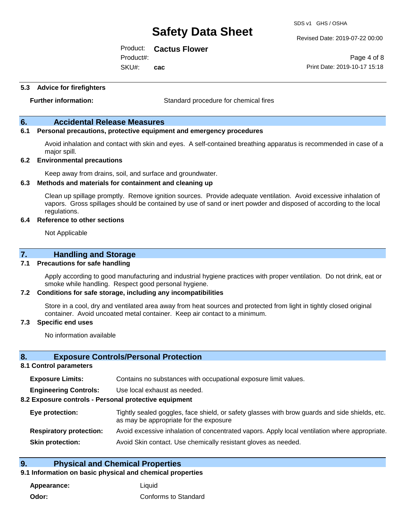Revised Date: 2019-07-22 00:00

Product: **Cactus Flower**

SKU#: Product#: **cac**

Page 4 of 8 Print Date: 2019-10-17 15:18

#### **5.3 Advice for firefighters**

**Further information:** Standard procedure for chemical fires

## **6. Accidental Release Measures**

## **6.1 Personal precautions, protective equipment and emergency procedures**

Avoid inhalation and contact with skin and eyes. A self-contained breathing apparatus is recommended in case of a major spill.

#### **6.2 Environmental precautions**

Keep away from drains, soil, and surface and groundwater.

#### **6.3 Methods and materials for containment and cleaning up**

Clean up spillage promptly. Remove ignition sources. Provide adequate ventilation. Avoid excessive inhalation of vapors. Gross spillages should be contained by use of sand or inert powder and disposed of according to the local regulations.

#### **6.4 Reference to other sections**

Not Applicable

## **7. Handling and Storage**

#### **7.1 Precautions for safe handling**

Apply according to good manufacturing and industrial hygiene practices with proper ventilation. Do not drink, eat or smoke while handling. Respect good personal hygiene.

#### **7.2 Conditions for safe storage, including any incompatibilities**

Store in a cool, dry and ventilated area away from heat sources and protected from light in tightly closed original container. Avoid uncoated metal container. Keep air contact to a minimum.

#### **7.3 Specific end uses**

No information available

#### **8. Exposure Controls/Personal Protection**

#### **8.1 Control parameters**

| <b>Exposure Limits:</b> |  | Contains no substances with occupational exposure limit values. |
|-------------------------|--|-----------------------------------------------------------------|
|-------------------------|--|-----------------------------------------------------------------|

**Engineering Controls:** Use local exhaust as needed.

#### **8.2 Exposure controls - Personal protective equipment**

| Eye protection:                | Tightly sealed goggles, face shield, or safety glasses with brow guards and side shields, etc.<br>as may be appropriate for the exposure |
|--------------------------------|------------------------------------------------------------------------------------------------------------------------------------------|
| <b>Respiratory protection:</b> | Avoid excessive inhalation of concentrated vapors. Apply local ventilation where appropriate.                                            |
| <b>Skin protection:</b>        | Avoid Skin contact. Use chemically resistant gloves as needed.                                                                           |

## **9. Physical and Chemical Properties**

## **9.1 Information on basic physical and chemical properties**

**Appearance:** Liquid **Odor:** Conforms to Standard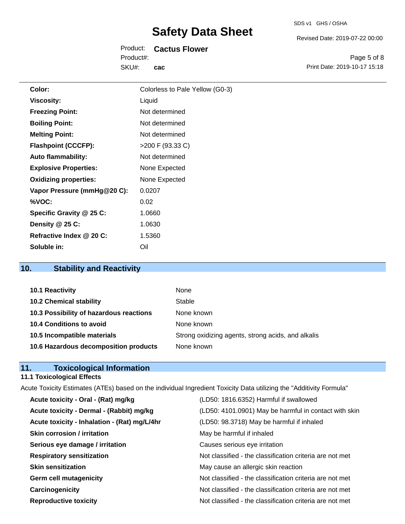| SDS v1 | GHS / OSHA |
|--------|------------|
|        |            |

Revised Date: 2019-07-22 00:00

Product: **Cactus Flower** SKU#: Product#: **cac**

Page 5 of 8 Print Date: 2019-10-17 15:18

| Color:                       | Colorless to Pale Yellow (G0-3) |
|------------------------------|---------------------------------|
| <b>Viscosity:</b>            | Liquid                          |
| <b>Freezing Point:</b>       | Not determined                  |
| <b>Boiling Point:</b>        | Not determined                  |
| <b>Melting Point:</b>        | Not determined                  |
| <b>Flashpoint (CCCFP):</b>   | $>200$ F (93.33 C)              |
| <b>Auto flammability:</b>    | Not determined                  |
| <b>Explosive Properties:</b> | None Expected                   |
| <b>Oxidizing properties:</b> | None Expected                   |
| Vapor Pressure (mmHg@20 C):  | 0.0207                          |
| %VOC:                        | 0.02                            |
| Specific Gravity @ 25 C:     | 1.0660                          |
| Density @ 25 C:              | 1.0630                          |
| Refractive Index @ 20 C:     | 1.5360                          |
| Soluble in:                  | Oil                             |
|                              |                                 |

## **10. Stability and Reactivity**

| 10.1 Reactivity                         | None                                               |
|-----------------------------------------|----------------------------------------------------|
| <b>10.2 Chemical stability</b>          | Stable                                             |
| 10.3 Possibility of hazardous reactions | None known                                         |
| 10.4 Conditions to avoid                | None known                                         |
| 10.5 Incompatible materials             | Strong oxidizing agents, strong acids, and alkalis |
| 10.6 Hazardous decomposition products   | None known                                         |

## **11. Toxicological Information**

#### **11.1 Toxicological Effects**

Acute Toxicity Estimates (ATEs) based on the individual Ingredient Toxicity Data utilizing the "Additivity Formula" **Acute toxicity - Oral - (Rat) mg/kg** (LD50: 1816.6352) Harmful if swallowed Acute toxicity - Dermal - (Rabbit) mg/kg <br>
(LD50: 4101.0901) May be harmful in contact with skin **Acute toxicity - Inhalation - (Rat) mg/L/4hr** (LD50: 98.3718) May be harmful if inhaled **Skin corrosion / irritation** May be harmful if inhaled **Serious eye damage / irritation Causes serious eye irritation Respiratory sensitization** Not classified - the classification criteria are not met **Skin sensitization** May cause an allergic skin reaction **Germ cell mutagenicity Not classified - the classification criteria are not met Carcinogenicity Carcinogenicity Not classified - the classification criteria are not met Reproductive toxicity** Not classified - the classification criteria are not met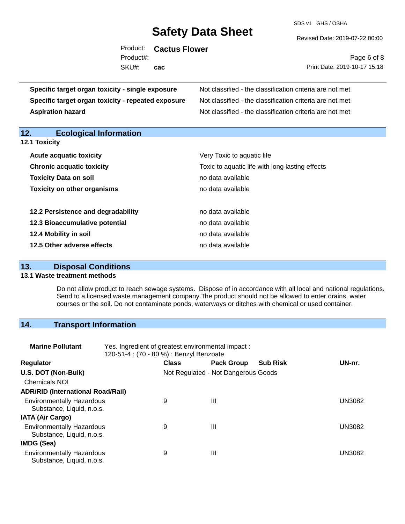SDS v1 GHS / OSHA

Revised Date: 2019-07-22 00:00

|                        | Product: Cactus Flower |                                                          |
|------------------------|------------------------|----------------------------------------------------------|
| Product#:              |                        | Page 6 of 8                                              |
| SKU#:                  | cac                    | Print Date: 2019-10-17 15:18                             |
| citv - sinale exposure |                        | Not classified - the classification criteria are not met |

**Specific target organ toxicity - single exposure Specific target organ toxicity - repeated exposure** Not classified - the classification criteria are not met **Aspiration hazard Not classified - the classification criteria are not met** Not classified - the classification criteria are not met

**12. Ecological Information** 

| <b>12.1 Toxicity</b>               |                                                 |
|------------------------------------|-------------------------------------------------|
| <b>Acute acquatic toxicity</b>     | Very Toxic to aquatic life                      |
| <b>Chronic acquatic toxicity</b>   | Toxic to aquatic life with long lasting effects |
| <b>Toxicity Data on soil</b>       | no data available                               |
| <b>Toxicity on other organisms</b> | no data available                               |
| 12.2 Persistence and degradability | no data available                               |
| 12.3 Bioaccumulative potential     | no data available                               |
| 12.4 Mobility in soil              | no data available                               |
| 12.5 Other adverse effects         | no data available                               |

## **13. Disposal Conditions**

## **13.1 Waste treatment methods**

Do not allow product to reach sewage systems. Dispose of in accordance with all local and national regulations. Send to a licensed waste management company.The product should not be allowed to enter drains, water courses or the soil. Do not contaminate ponds, waterways or ditches with chemical or used container.

## **14. Transport Information**

| <b>Marine Pollutant</b>                                       | Yes. Ingredient of greatest environmental impact:<br>120-51-4 : (70 - 80 %) : Benzyl Benzoate |              |                                     |                 |               |
|---------------------------------------------------------------|-----------------------------------------------------------------------------------------------|--------------|-------------------------------------|-----------------|---------------|
| <b>Regulator</b>                                              |                                                                                               | <b>Class</b> | <b>Pack Group</b>                   | <b>Sub Risk</b> | UN-nr.        |
| U.S. DOT (Non-Bulk)                                           |                                                                                               |              | Not Regulated - Not Dangerous Goods |                 |               |
| <b>Chemicals NOI</b>                                          |                                                                                               |              |                                     |                 |               |
| <b>ADR/RID (International Road/Rail)</b>                      |                                                                                               |              |                                     |                 |               |
| <b>Environmentally Hazardous</b><br>Substance, Liquid, n.o.s. |                                                                                               | 9            | Ш                                   |                 | <b>UN3082</b> |
| <b>IATA (Air Cargo)</b>                                       |                                                                                               |              |                                     |                 |               |
| <b>Environmentally Hazardous</b><br>Substance, Liquid, n.o.s. |                                                                                               | 9            | Ш                                   |                 | UN3082        |
| IMDG (Sea)                                                    |                                                                                               |              |                                     |                 |               |
| <b>Environmentally Hazardous</b><br>Substance, Liquid, n.o.s. |                                                                                               | 9            | Ш                                   |                 | UN3082        |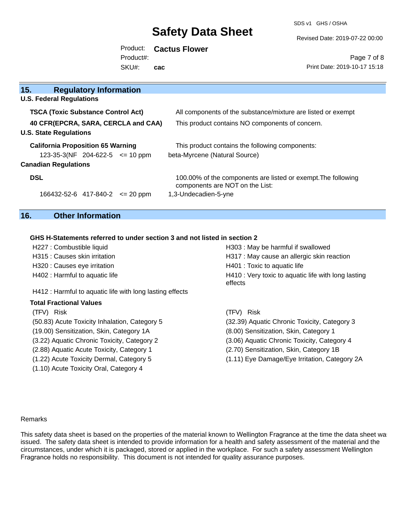SDS v1 GHS / OSHA

Revised Date: 2019-07-22 00:00

Product: **Cactus Flower** SKU#: Product#: **cac**

Page 7 of 8 Print Date: 2019-10-17 15:18

| 15.<br><b>Regulatory Information</b><br><b>U.S. Federal Regulations</b><br>All components of the substance/mixture are listed or exempt<br><b>TSCA (Toxic Substance Control Act)</b><br>40 CFR(EPCRA, SARA, CERCLA and CAA)<br>This product contains NO components of concern.<br><b>U.S. State Regulations</b><br><b>California Proposition 65 Warning</b><br>This product contains the following components:<br>beta-Myrcene (Natural Source)<br>$123-35-3(NF)$ 204-622-5 $\leq$ 10 ppm<br><b>Canadian Regulations</b><br><b>DSL</b><br>100.00% of the components are listed or exempt. The following<br>components are NOT on the List:<br>1,3-Undecadien-5-yne<br>$166432 - 52 - 6$ 417-840-2 $\leq$ 20 ppm |  |  |
|-----------------------------------------------------------------------------------------------------------------------------------------------------------------------------------------------------------------------------------------------------------------------------------------------------------------------------------------------------------------------------------------------------------------------------------------------------------------------------------------------------------------------------------------------------------------------------------------------------------------------------------------------------------------------------------------------------------------|--|--|
|                                                                                                                                                                                                                                                                                                                                                                                                                                                                                                                                                                                                                                                                                                                 |  |  |
|                                                                                                                                                                                                                                                                                                                                                                                                                                                                                                                                                                                                                                                                                                                 |  |  |
|                                                                                                                                                                                                                                                                                                                                                                                                                                                                                                                                                                                                                                                                                                                 |  |  |
|                                                                                                                                                                                                                                                                                                                                                                                                                                                                                                                                                                                                                                                                                                                 |  |  |
|                                                                                                                                                                                                                                                                                                                                                                                                                                                                                                                                                                                                                                                                                                                 |  |  |
|                                                                                                                                                                                                                                                                                                                                                                                                                                                                                                                                                                                                                                                                                                                 |  |  |
|                                                                                                                                                                                                                                                                                                                                                                                                                                                                                                                                                                                                                                                                                                                 |  |  |
|                                                                                                                                                                                                                                                                                                                                                                                                                                                                                                                                                                                                                                                                                                                 |  |  |
|                                                                                                                                                                                                                                                                                                                                                                                                                                                                                                                                                                                                                                                                                                                 |  |  |

## **16. Other Information**

(1.10) Acute Toxicity Oral, Category 4

## **GHS H-Statements referred to under section 3 and not listed in section 2**

| H227 : Combustible liquid                                | H303: May be harmful if swallowed                              |
|----------------------------------------------------------|----------------------------------------------------------------|
| H315 : Causes skin irritation                            | H317 : May cause an allergic skin reaction                     |
| H320 : Causes eye irritation                             | H401 : Toxic to aquatic life                                   |
| H402 : Harmful to aquatic life                           | H410 : Very toxic to aquatic life with long lasting<br>effects |
| H412 : Harmful to aquatic life with long lasting effects |                                                                |
| <b>Total Fractional Values</b>                           |                                                                |
| (TFV) Risk                                               | (TFV) Risk                                                     |
| (50.83) Acute Toxicity Inhalation, Category 5            | (32.39) Aquatic Chronic Toxicity, Category 3                   |
| (19.00) Sensitization, Skin, Category 1A                 | (8.00) Sensitization, Skin, Category 1                         |
| (3.22) Aquatic Chronic Toxicity, Category 2              | (3.06) Aquatic Chronic Toxicity, Category 4                    |
| (2.88) Aquatic Acute Toxicity, Category 1                | (2.70) Sensitization, Skin, Category 1B                        |
| (1.22) Acute Toxicity Dermal, Category 5                 | (1.11) Eye Damage/Eye Irritation, Category 2A                  |

#### Remarks

This safety data sheet is based on the properties of the material known to Wellington Fragrance at the time the data sheet wa issued. The safety data sheet is intended to provide information for a health and safety assessment of the material and the circumstances, under which it is packaged, stored or applied in the workplace. For such a safety assessment Wellington Fragrance holds no responsibility. This document is not intended for quality assurance purposes.